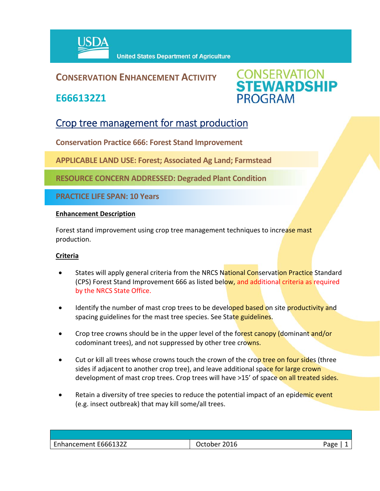

### **CONSERVATION ENHANCEMENT ACTIVITY**

**E666132Z1**



## Crop tree management for mast production

**Conservation Practice 666: Forest Stand Improvement**

**APPLICABLE LAND USE: Forest; Associated Ag Land; Farmstead**

**RESOURCE CONCERN ADDRESSED: Degraded Plant Condition**

**PRACTICE LIFE SPAN: 10 Years**

#### **Enhancement Description**

Forest stand improvement using crop tree management techniques to increase mast production.

#### **Criteria**

- States will apply general criteria from the NRCS National Conservation Practice Standard (CPS) Forest Stand Improvement 666 as listed below, and additional criteria as required by the NRCS State Office.
- Identify the number of mast crop trees to be developed based on site productivity and spacing guidelines for the mast tree species. See State guidelines.
- Crop tree crowns should be in the upper level of the forest canopy (dominant and/or codominant trees), and not suppressed by other tree crowns.
- Cut or kill all trees whose crowns touch the crown of the crop tree on four sides (three sides if adjacent to another crop tree), and leave additional space for large crown development of mast crop trees. Crop trees will have >15' of space on all treated sides.
- Retain a diversity of tree species to reduce the potential impact of an epidemic event (e.g. insect outbreak) that may kill some/all trees.

| E666132Z<br>--<br>$\ldots$<br>nancement : | 2016<br>,ctoper | Page |
|-------------------------------------------|-----------------|------|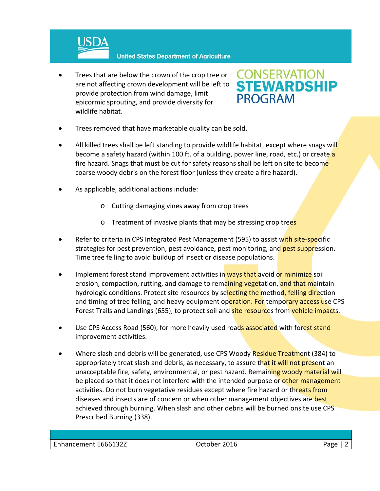

 Trees that are below the crown of the crop tree or are not affecting crown development will be left to provide protection from wind damage, limit epicormic sprouting, and provide diversity for wildlife habitat.

# **CONSERVATION<br>STEWARDSHIP PROGRAM**

- Trees removed that have marketable quality can be sold.
- All killed trees shall be left standing to provide wildlife habitat, except where snags will become a safety hazard (within 100 ft. of a building, power line, road, etc.) or create a fire hazard. Snags that must be cut for safety reasons shall be left on site to become coarse woody debris on the forest floor (unless they create a fire hazard).
- As applicable, additional actions include:
	- o Cutting damaging vines away from crop trees
	- o Treatment of invasive plants that may be stressing crop trees
- Refer to criteria in CPS Integrated Pest Management (595) to assist with site-specific strategies for pest prevention, pest avoidance, pest monitoring, and pest suppression. Time tree felling to avoid buildup of insect or disease populations.
- Implement forest stand improvement activities in ways that avoid or minimize soil erosion, compaction, rutting, and damage to remaining vegetation, and that maintain hydrologic conditions. Protect site resources by selecting the method, felling direction and timing of tree felling, and heavy equipment operation. For temporary access use CPS Forest Trails and Landings (655), to protect soil and site resources from vehicle impacts.
- Use CPS Access Road (560), for more heavily used roads associated with forest stand improvement activities.
- Where slash and debris will be generated, use CPS Woody Residue Treatment (384) to appropriately treat slash and debris, as necessary, to assure that it will not present an unacceptable fire, safety, environmental, or pest hazard. Remaining woody material will be placed so that it does not interfere with the intended purpose or other management activities. Do not burn vegetative residues except where fire hazard or threats from diseases and insects are of concern or when other management objectives are best achieved through burning. When slash and other debris will be burned onsite use CPS Prescribed Burning (338).

| -<br>E666132Z<br>-nhancement | н<br>ZUIU<br><b>…しいい</b> し | . |
|------------------------------|----------------------------|---|
|                              |                            |   |